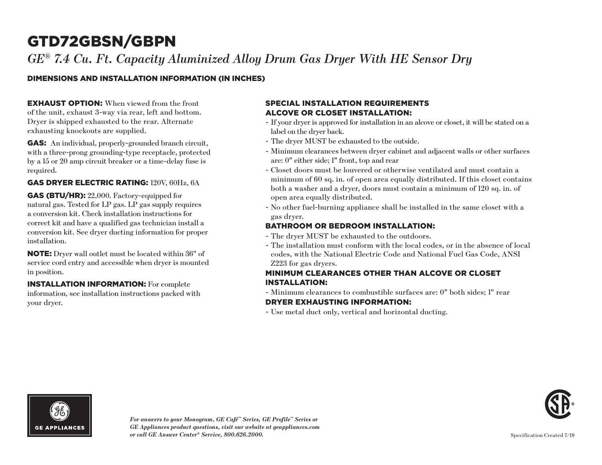### *GE® 7.4 Cu. Ft. Capacity Aluminized Alloy Drum Gas Dryer With HE Sensor Dry*

### DIMENSIONS AND INSTALLATION INFORMATION (IN INCHES)

**EXHAUST OPTION:** When viewed from the front of the unit, exhaust 3-way via rear, left and bottom. Dryer is shipped exhausted to the rear. Alternate exhausting knockouts are supplied.

GAS: An individual, properly-grounded branch circuit, with a three-prong grounding-type receptacle, protected by a 15 or 20 amp circuit breaker or a time-delay fuse is required.

### GAS DRYER ELECTRIC RATING: 120V, 60Hz, 6A

GAS (BTU/HR): 22,000. Factory-equipped for natural gas. Tested for LP gas. LP gas supply requires a conversion kit. Check installation instructions for correct kit and have a qualified gas technician install a conversion kit. See dryer ducting information for proper installation.

NOTE: Dryer wall outlet must be located within 36" of service cord entry and accessible when dryer is mounted in position.

INSTALLATION INFORMATION: For complete information, see installation instructions packed with your dryer.

### SPECIAL INSTALLATION REQUIREMENTS ALCOVE OR CLOSET INSTALLATION:

- If your dryer is approved for installation in an alcove or closet, it will be stated on a label on the dryer back.
- The dryer MUST be exhausted to the outside.
- Minimum clearances between dryer cabinet and adjacent walls or other surfaces are: 0" either side; 1" front, top and rear
- Closet doors must be louvered or otherwise ventilated and must contain a minimum of 60 sq. in. of open area equally distributed. If this closet contains both a washer and a dryer, doors must contain a minimum of 120 sq. in. of open area equally distributed.
- No other fuel-burning appliance shall be installed in the same closet with a gas dryer.

### BATHROOM OR BEDROOM INSTALLATION:

- The dryer MUST be exhausted to the outdoors.
- The installation must conform with the local codes, or in the absence of local codes, with the National Electric Code and National Fuel Gas Code, ANSI Z223 for gas dryers.

### MINIMUM CLEARANCES OTHER THAN ALCOVE OR CLOSET INSTALLATION:

- Minimum clearances to combustible surfaces are: 0" both sides; 1" rear DRYER EXHAUSTING INFORMATION:
- Use metal duct only, vertical and horizontal ducting.



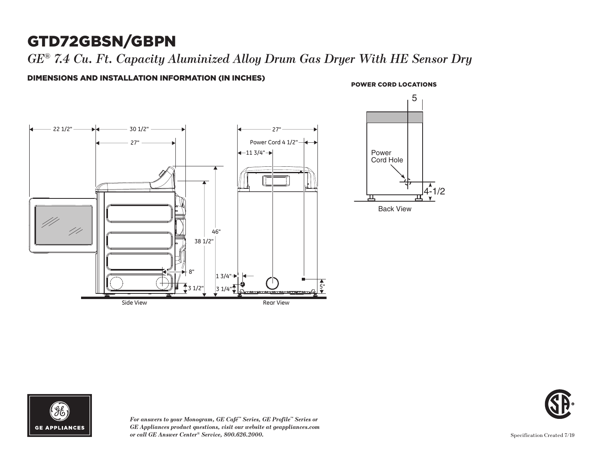*GE® 7.4 Cu. Ft. Capacity Aluminized Alloy Drum Gas Dryer With HE Sensor Dry*

DIMENSIONS AND INSTALLATION INFORMATION (IN INCHES)

### **POWER CORD LOCATIONS**

 $\sqrt{4-1/2}$ 





*For answers to your Monogram, GE Café™ Series, GE Profile™ Series or GE Appliances product questions, visit our website at geappliances.com or call GE Answer Center® Service, 800.626.2000.* Specification Created 7/19

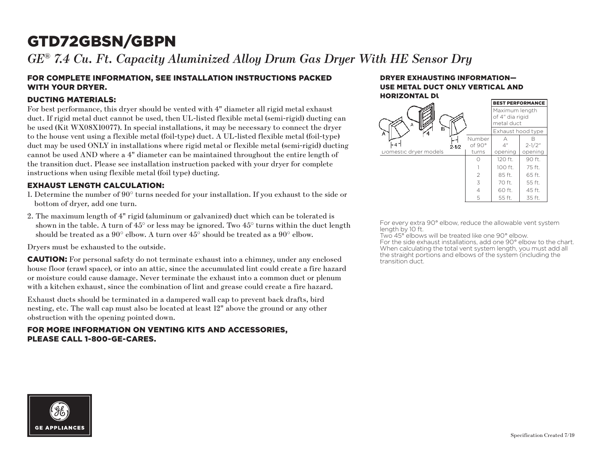*GE® 7.4 Cu. Ft. Capacity Aluminized Alloy Drum Gas Dryer With HE Sensor Dry*

### FOR COMPLETE INFORMATION, SEE INSTALLATION INSTRUCTIONS PACKED WITH YOUR DRYER.

### DUCTING MATERIALS:

For best performance, this dryer should be vented with 4" diameter all rigid metal exhaust duct. If rigid metal duct cannot be used, then UL-listed flexible metal (semi-rigid) ducting can be used (Kit WX08X10077). In special installations, it may be necessary to connect the dryer to the house vent using a flexible metal (foil-type) duct. A UL-listed flexible metal (foil-type) duct may be used ONLY in installations where rigid metal or flexible metal (semi-rigid) ducting cannot be used AND where a 4" diameter can be maintained throughout the entire length of the transition duct. Please see installation instruction packed with your dryer for complete instructions when using flexible metal (foil type) ducting.

### EXHAUST LENGTH CALCULATION:

- 1. Determine the number of 90° turns needed for your installation. If you exhaust to the side or bottom of dryer, add one turn.
- 2. The maximum length of 4" rigid (aluminum or galvanized) duct which can be tolerated is shown in the table. A turn of  $45^{\circ}$  or less may be ignored. Two  $45^{\circ}$  turns within the duct length should be treated as a  $90^{\circ}$  elbow. A turn over  $45^{\circ}$  should be treated as a  $90^{\circ}$  elbow.

Dryers must be exhausted to the outside.

CAUTION: For personal safety do not terminate exhaust into a chimney, under any enclosed house floor (crawl space), or into an attic, since the accumulated lint could create a fire hazard or moisture could cause damage. Never terminate the exhaust into a common duct or plenum with a kitchen exhaust, since the combination of lint and grease could create a fire hazard.

Exhaust ducts should be terminated in a dampered wall cap to prevent back drafts, bird nesting, etc. The wall cap must also be located at least 12" above the ground or any other obstruction with the opening pointed down.

### FOR MORE INFORMATION ON VENTING KITS AND ACCESSORIES, PLEASE CALL 1-800-GE-CARES.

#### DRYER EXHAUSTING INFORMATION— USE METAL DUCT ONLY VERTICAL AND **HORIZONTAL DU**

|                       |                  | <b>BEST PERFORMANCE</b>                         |            |
|-----------------------|------------------|-------------------------------------------------|------------|
| Α                     |                  | Maximum length<br>of 4" dia rigid<br>metal duct |            |
| в<br>A                |                  | Exhaust hood type                               |            |
| $2 - 1/2$             | Number<br>of 90° | А<br>4"                                         | $2 - 1/2"$ |
| Domestic dryer models | turns            | opening                                         | opening    |
|                       | Ω                | 120 ft.                                         | 90 ft.     |
|                       |                  | 100 ft.                                         | 75 ft.     |
|                       | $\overline{2}$   | 85 ft.                                          | 65 ft.     |
|                       | 3                | 70 ft.                                          | 55 ft.     |
|                       | 4                | 60 ft.                                          | 45 ft.     |
|                       | 5                | 55 ft.                                          | 35 ft.     |

For every extra 90° elbow, reduce the allowable vent system length by 10 ft.

Two 45° elbows will be treated like one 90° elbow. For the side exhaust installations, add one 90° elbow to the chart. When calculating the total vent system length, you must add all the straight portions and elbows of the system (including the transition duct.